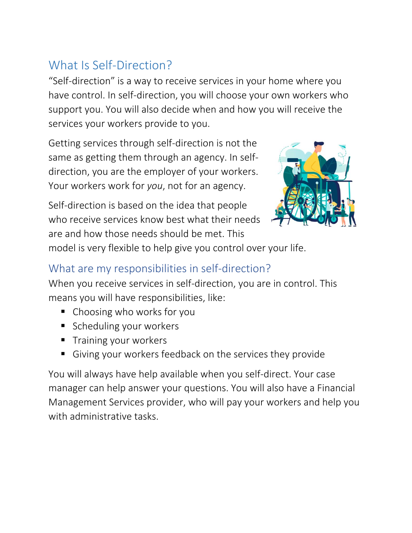## What Is Self-Direction?

"Self-direction" is a way to receive services in your home where you have control. In self-direction, you will choose your own workers who support you. You will also decide when and how you will receive the services your workers provide to you.

Getting services through self-direction is not the same as getting them through an agency. In selfdirection, you are the employer of your workers. Your workers work for *you*, not for an agency.

Self-direction is based on the idea that people who receive services know best what their needs are and how those needs should be met. This model is very flexible to help give you control over your life.



## What are my responsibilities in self-direction?

When you receive services in self-direction, you are in control. This means you will have responsibilities, like:

- Choosing who works for you
- Scheduling your workers
- **Training your workers**
- Giving your workers feedback on the services they provide

You will always have help available when you self-direct. Your case manager can help answer your questions. You will also have a Financial Management Services provider, who will pay your workers and help you with administrative tasks.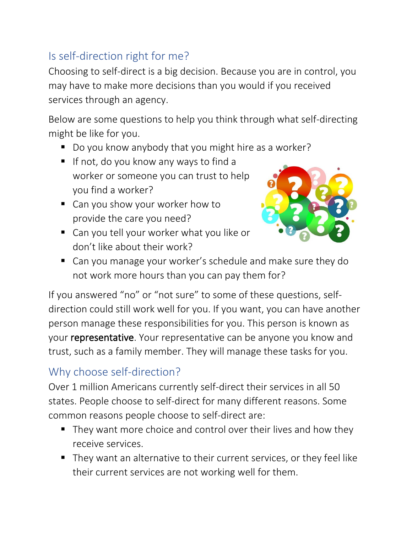## Is self-direction right for me?

Choosing to self-direct is a big decision. Because you are in control, you may have to make more decisions than you would if you received services through an agency.

Below are some questions to help you think through what self-directing might be like for you.

- Do you know anybody that you might hire as a worker?
- If not, do you know any ways to find a worker or someone you can trust to help you find a worker?
- Can you show your worker how to provide the care you need?
- Can you tell your worker what you like or don't like about their work?



■ Can you manage your worker's schedule and make sure they do not work more hours than you can pay them for?

If you answered "no" or "not sure" to some of these questions, selfdirection could still work well for you. If you want, you can have another person manage these responsibilities for you. This person is known as your representative. Your representative can be anyone you know and trust, such as a family member. They will manage these tasks for you.

## Why choose self-direction?

Over 1 million Americans currently self-direct their services in all 50 states. People choose to self-direct for many different reasons. Some common reasons people choose to self-direct are:

- They want more choice and control over their lives and how they receive services.
- They want an alternative to their current services, or they feel like their current services are not working well for them.